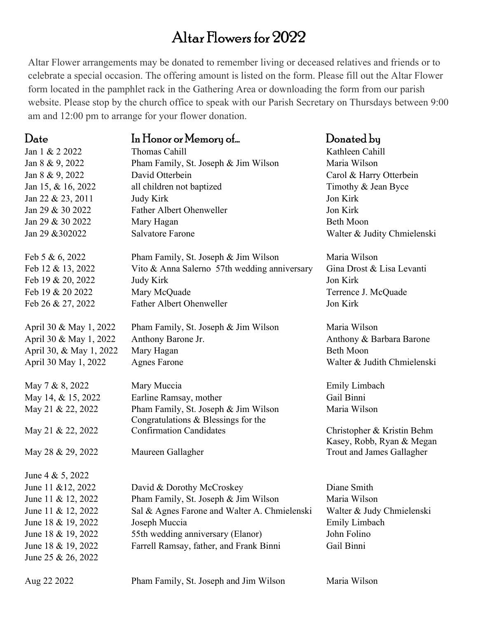## Altar Flowers for 2022

Altar Flower arrangements may be donated to remember living or deceased relatives and friends or to celebrate a special occasion. The offering amount is listed on the form. Please fill out the Altar Flower form located in the pamphlet rack in the Gathering Area or downloading the form from our parish website. Please stop by the church office to speak with our Parish Secretary on Thursdays between 9:00 am and 12:00 pm to arrange for your flower donation.

| Date                    | In Honor or Memory of                                                       | Donated by                  |
|-------------------------|-----------------------------------------------------------------------------|-----------------------------|
| Jan 1 & 2 2022          | Thomas Cahill                                                               | Kathleen Cahill             |
| Jan 8 & 9, 2022         | Pham Family, St. Joseph & Jim Wilson                                        | Maria Wilson                |
| Jan 8 & 9, 2022         | David Otterbein                                                             | Carol & Harry Otterbein     |
| Jan 15, & 16, 2022      | all children not baptized                                                   | Timothy & Jean Byce         |
| Jan 22 & 23, 2011       | <b>Judy Kirk</b>                                                            | Jon Kirk                    |
| Jan 29 & 30 2022        | <b>Father Albert Ohenweller</b>                                             | Jon Kirk                    |
| Jan 29 & 30 2022        | Mary Hagan                                                                  | <b>Beth Moon</b>            |
| Jan 29 & 302022         | <b>Salvatore Farone</b>                                                     | Walter & Judity Chmielenski |
| Feb 5 & 6, 2022         | Pham Family, St. Joseph & Jim Wilson                                        | Maria Wilson                |
| Feb 12 & 13, 2022       | Vito & Anna Salerno 57th wedding anniversary                                | Gina Drost & Lisa Levanti   |
| Feb 19 & 20, 2022       | <b>Judy Kirk</b>                                                            | Jon Kirk                    |
| Feb 19 & 20 2022        | Mary McQuade                                                                | Terrence J. McQuade         |
| Feb 26 & 27, 2022       | <b>Father Albert Ohenweller</b>                                             | Jon Kirk                    |
| April 30 & May 1, 2022  | Pham Family, St. Joseph & Jim Wilson                                        | Maria Wilson                |
| April 30 & May 1, 2022  | Anthony Barone Jr.                                                          | Anthony & Barbara Barone    |
| April 30, & May 1, 2022 | Mary Hagan                                                                  | <b>Beth Moon</b>            |
| April 30 May 1, 2022    | <b>Agnes Farone</b>                                                         | Walter & Judith Chmielenski |
| May 7 & 8, 2022         | Mary Muccia                                                                 | Emily Limbach               |
| May 14, & 15, 2022      | Earline Ramsay, mother                                                      | Gail Binni                  |
| May 21 & 22, 2022       | Pham Family, St. Joseph & Jim Wilson<br>Congratulations & Blessings for the | Maria Wilson                |
| May 21 & 22, 2022       | <b>Confirmation Candidates</b>                                              | Christopher & Kristin Behm  |
|                         |                                                                             | Kasey, Robb, Ryan & Megan   |
| May 28 & 29, 2022       | Maureen Gallagher                                                           | Trout and James Gallagher   |
| June 4 & 5, 2022        |                                                                             |                             |
| June 11 & 12, 2022      | David & Dorothy McCroskey                                                   | Diane Smith                 |
| June 11 & 12, 2022      | Pham Family, St. Joseph & Jim Wilson                                        | Maria Wilson                |
| June 11 & 12, 2022      | Sal & Agnes Farone and Walter A. Chmielenski                                | Walter & Judy Chmielenski   |
| June 18 & 19, 2022      | Joseph Muccia                                                               | Emily Limbach               |
| June 18 & 19, 2022      | 55th wedding anniversary (Elanor)                                           | John Folino                 |
| June 18 & 19, 2022      | Farrell Ramsay, father, and Frank Binni                                     | Gail Binni                  |
| June 25 & 26, 2022      |                                                                             |                             |
| Aug 22 2022             | Pham Family, St. Joseph and Jim Wilson                                      | Maria Wilson                |